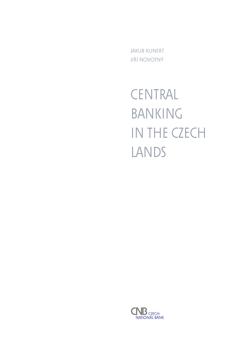Jakub Kunert Jiří Novotný

**CENTRAL** BANKING IN THE CZECH LANDS

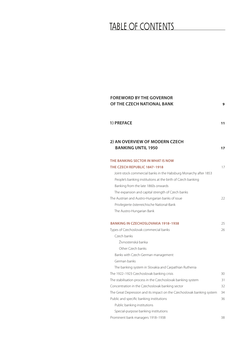# TABLE OF CONTENTS

| <b>FOREWORD BY THE GOVERNOR</b><br>OF THE CZECH NATIONAL BANK          | 9  |
|------------------------------------------------------------------------|----|
| 1) PREFACE                                                             | 11 |
| 2) AN OVERVIEW OF MODERN CZECH<br><b>BANKING UNTIL 1950</b>            | 17 |
| THE BANKING SECTOR IN WHAT IS NOW                                      |    |
| THE CZECH REPUBLIC 1847-1918                                           | 17 |
| Joint-stock commercial banks in the Habsburg Monarchy after 1853       |    |
| People's banking institutions at the birth of Czech banking            |    |
| Banking from the late 1860s onwards                                    |    |
| The expansion and capital strength of Czech banks                      |    |
| The Austrian and Austro-Hungarian banks of issue                       | 22 |
| Privilegierte österreichische National-Bank                            |    |
| The Austro-Hungarian Bank                                              |    |
| <b>BANKING IN CZECHOSLOVAKIA 1918-1938</b>                             | 25 |
| Types of Czechoslovak commercial banks                                 | 26 |
| Czech banks                                                            |    |
| Živnostenská banka                                                     |    |
| Other Czech banks                                                      |    |
| Banks with Czech-German management                                     |    |
| German banks                                                           |    |
| The banking system in Slovakia and Carpathian Ruthenia                 |    |
| The 1922-1923 Czechoslovak banking crisis                              | 30 |
| The stabilisation process in the Czechoslovak banking system           | 31 |
| Concentration in the Czechoslovak banking sector                       | 32 |
| The Great Depression and its impact on the Czechoslovak banking system | 34 |
| Public and specific banking institutions                               | 36 |
| Public banking institutions                                            |    |
| Special-purpose banking institutions                                   |    |
| Prominent bank managers 1918-1938                                      | 38 |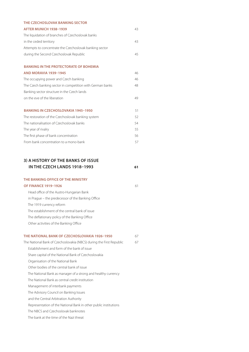| THE CZECHOSLOVAK BANKING SECTOR                           |    |
|-----------------------------------------------------------|----|
| AFTER MUNICH 1938-1939                                    | 43 |
| The liquidation of branches of Czechoslovak banks         |    |
| in the ceded territory                                    | 43 |
| Attempts to concentrate the Czechoslovak banking sector   |    |
| during the Second Czechoslovak Republic                   | 45 |
|                                                           |    |
| <b>BANKING IN THE PROTECTORATE OF BOHEMIA</b>             |    |
| <b>AND MORAVIA 1939-1945</b>                              | 46 |
| The occupying power and Czech banking                     | 46 |
| The Czech banking sector in competition with German banks | 48 |
| Banking sector structure in the Czech lands               |    |
| on the eve of the liberation                              | 49 |
|                                                           |    |
| <b>BANKING IN CZECHOSLOVAKIA 1945-1950</b>                | 51 |
| The restoration of the Czechoslovak banking system        | 52 |
| The nationalisation of Czechoslovak banks                 | 54 |
| The year of rivalry                                       | 55 |
| The first phase of bank concentration                     | 56 |
| From bank concentration to a mono-bank                    | 57 |

## **3) A HISTORY OF THE BANKS OF ISSUE IN THE CZECH LANDS 1918–1993 61**

#### **The Banking Office of the Ministry**

#### **OF FINANCE 1919–1926** 61

Head office of the Austro-Hungarian Bank in Prague – the predecessor of the Banking Office The 1919 currency reform The establishment of the central bank of issue The deflationary policy of the Banking Office Other activities of the Banking Office

## **The National Bank of Czechoslovakia 1926–1950** 67

- The National Bank of Czechoslovakia (NBCS) during the First Republic 67 Establishment and form of the bank of issue Share capital of the National Bank of Czechoslovakia Organisation of the National Bank Other bodies of the central bank of issue The National Bank as manager of a strong and healthy currency The National Bank as central credit institution Management of interbank payments The Advisory Council on Banking Issues and the Central Arbitration Authority Representation of the National Bank in other public institutions The NBCS and Czechoslovak banknotes
	- The bank at the time of the Nazi threat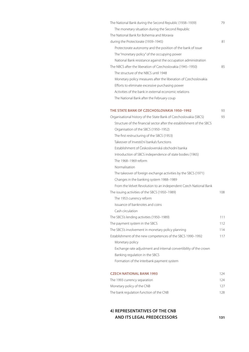| The National Bank during the Second Republic (1938-1939)              | 79  |
|-----------------------------------------------------------------------|-----|
| The monetary situation during the Second Republic                     |     |
| The National Bank for Bohemia and Moravia                             |     |
| during the Protectorate (1939-1945)                                   | 81  |
| Protectorate autonomy and the position of the bank of issue           |     |
| The "monetary policy" of the occupying power                          |     |
| National Bank resistance against the occupation administration        |     |
| The NBCS after the liberation of Czechoslovakia (1945–1950)           | 85  |
| The structure of the NBCS until 1948                                  |     |
| Monetary policy measures after the liberation of Czechoslovakia       |     |
| Efforts to eliminate excessive purchasing power                       |     |
| Activities of the bank in external economic relations                 |     |
| The National Bank after the February coup                             |     |
| THE STATE BANK OF CZECHOSLOVAKIA 1950-1992                            | 93  |
| Organisational history of the State Bank of Czechoslovakia (SBCS)     | 93  |
| Structure of the financial sector after the establishment of the SBCS |     |
| Organisation of the SBCS (1950-1952)                                  |     |
| The first restructuring of the SBCS (1953)                            |     |
| Takeover of Investiční banka's functions                              |     |
| Establishment of Československá obchodní banka                        |     |
| Introduction of SBCS independence of state bodies (1965)              |     |
| The 1968-1969 reform                                                  |     |
| Normalisation                                                         |     |
| The takeover of foreign exchange activities by the SBCS (1971)        |     |
| Changes in the banking system 1988-1989                               |     |
| From the Velvet Revolution to an independent Czech National Bank      |     |
| The issuing activities of the SBCS (1950-1989)                        | 108 |
| The 1953 currency reform                                              |     |
| Issuance of banknotes and coins                                       |     |
| Cash circulation                                                      |     |
| The SBCS's lending activities (1950-1989)                             | 111 |
| The payment system in the SBCS                                        | 112 |
| The SBCS's involvement in monetary policy planning                    | 114 |
| Establishment of the new competences of the SBCS 1990-1992            | 117 |
| Monetary policy                                                       |     |
| Exchange rate adjustment and internal convertibility of the crown     |     |
| Banking regulation in the SBCS                                        |     |
| Formation of the interbank payment system                             |     |
| <b>CZECH NATIONAL BANK 1993</b>                                       | 124 |

| The 1993 currency separation            | 124 |
|-----------------------------------------|-----|
| Monetary policy of the CNB              | 127 |
| The bank regulation function of the CNB | 128 |

# **4) Representatives of the CNB and its legal predecessors 131**